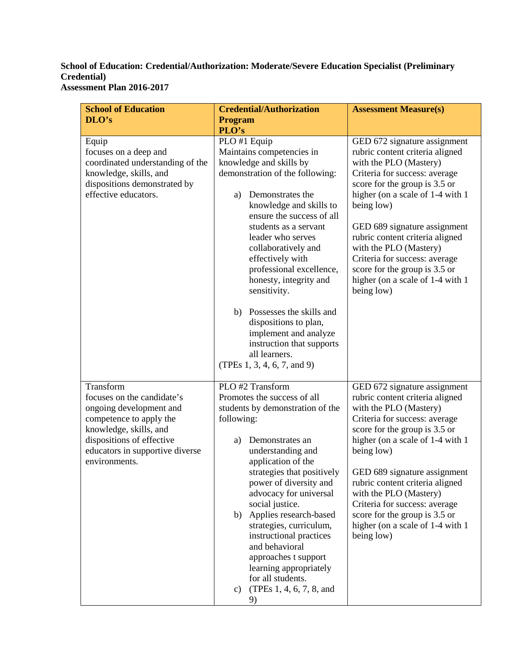## **School of Education: Credential/Authorization: Moderate/Severe Education Specialist (Preliminary Credential) Assessment Plan 2016-2017**

| <b>School of Education</b>                                                                                                                                                                               | <b>Credential/Authorization</b>                                                                                                                                                                                                                                                                                                                                                                                                                                                                                        | <b>Assessment Measure(s)</b>                                                                                                                                                                                                                                                                                                                                                                                                    |
|----------------------------------------------------------------------------------------------------------------------------------------------------------------------------------------------------------|------------------------------------------------------------------------------------------------------------------------------------------------------------------------------------------------------------------------------------------------------------------------------------------------------------------------------------------------------------------------------------------------------------------------------------------------------------------------------------------------------------------------|---------------------------------------------------------------------------------------------------------------------------------------------------------------------------------------------------------------------------------------------------------------------------------------------------------------------------------------------------------------------------------------------------------------------------------|
| DLO's                                                                                                                                                                                                    | <b>Program</b><br>PLO's                                                                                                                                                                                                                                                                                                                                                                                                                                                                                                |                                                                                                                                                                                                                                                                                                                                                                                                                                 |
| Equip<br>focuses on a deep and<br>coordinated understanding of the<br>knowledge, skills, and<br>dispositions demonstrated by<br>effective educators.                                                     | PLO #1 Equip<br>Maintains competencies in<br>knowledge and skills by<br>demonstration of the following:<br>Demonstrates the<br>a)<br>knowledge and skills to<br>ensure the success of all<br>students as a servant<br>leader who serves<br>collaboratively and<br>effectively with<br>professional excellence,<br>honesty, integrity and<br>sensitivity.<br>b) Possesses the skills and<br>dispositions to plan,<br>implement and analyze<br>instruction that supports<br>all learners.<br>(TPEs 1, 3, 4, 6, 7, and 9) | GED 672 signature assignment<br>rubric content criteria aligned<br>with the PLO (Mastery)<br>Criteria for success: average<br>score for the group is 3.5 or<br>higher (on a scale of 1-4 with 1<br>being low)<br>GED 689 signature assignment<br>rubric content criteria aligned<br>with the PLO (Mastery)<br>Criteria for success: average<br>score for the group is 3.5 or<br>higher (on a scale of 1-4 with 1<br>being low)  |
| Transform<br>focuses on the candidate's<br>ongoing development and<br>competence to apply the<br>knowledge, skills, and<br>dispositions of effective<br>educators in supportive diverse<br>environments. | PLO #2 Transform<br>Promotes the success of all<br>students by demonstration of the<br>following:<br>Demonstrates an<br>a)<br>understanding and<br>application of the<br>strategies that positively<br>power of diversity and<br>advocacy for universal<br>social justice.<br>Applies research-based<br>b)<br>strategies, curriculum,<br>instructional practices<br>and behavioral<br>approaches t support<br>learning appropriately<br>for all students.<br>(TPEs 1, 4, 6, 7, 8, and<br>c)<br>9)                      | GED 672 signature assignment<br>rubric content criteria aligned<br>with the PLO (Mastery)<br>Criteria for success: average<br>score for the group is 3.5 or<br>higher (on a scale of 1-4 with 1<br>being low)<br>GED 689 signature assignment<br>rubric content criteria aligned<br>with the PLO (Mastery)<br>Criteria for success: average<br>score for the group is 3.5 or<br>higher (on a scale of 1-4 with 1)<br>being low) |